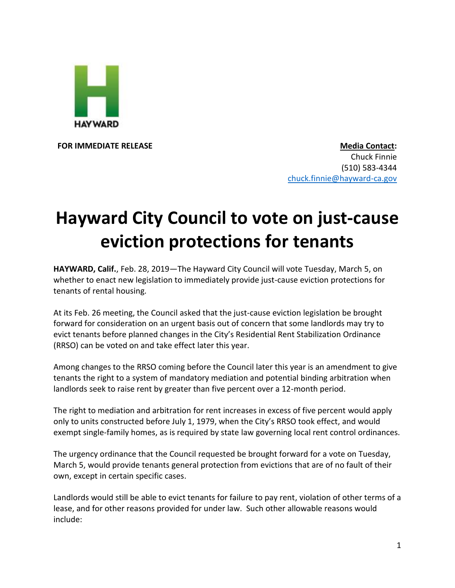

**FOR IMMEDIATE RELEASE Media Contact:** Chuck Finnie (510) 583-4344 [chuck.finnie@hayward-ca.gov](mailto:chuck.finnie@hayward-ca.gov)

## **Hayward City Council to vote on just-cause eviction protections for tenants**

**HAYWARD, Calif.**, Feb. 28, 2019—The Hayward City Council will vote Tuesday, March 5, on whether to enact new legislation to immediately provide just-cause eviction protections for tenants of rental housing.

At its Feb. 26 meeting, the Council asked that the just-cause eviction legislation be brought forward for consideration on an urgent basis out of concern that some landlords may try to evict tenants before planned changes in the City's Residential Rent Stabilization Ordinance (RRSO) can be voted on and take effect later this year.

Among changes to the RRSO coming before the Council later this year is an amendment to give tenants the right to a system of mandatory mediation and potential binding arbitration when landlords seek to raise rent by greater than five percent over a 12-month period.

The right to mediation and arbitration for rent increases in excess of five percent would apply only to units constructed before July 1, 1979, when the City's RRSO took effect, and would exempt single-family homes, as is required by state law governing local rent control ordinances.

The urgency ordinance that the Council requested be brought forward for a vote on Tuesday, March 5, would provide tenants general protection from evictions that are of no fault of their own, except in certain specific cases.

Landlords would still be able to evict tenants for failure to pay rent, violation of other terms of a lease, and for other reasons provided for under law. Such other allowable reasons would include: